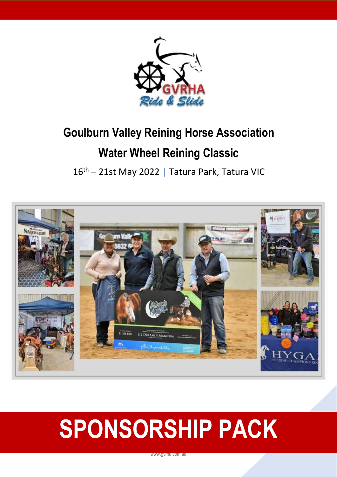

# **Goulburn Valley Reining Horse Association Water Wheel Reining Classic**

16<sup>th</sup> – 21st May 2022 | Tatura Park, Tatura VIC



# **SPONSORSHIP PACK**

www.gvrha.com.au

1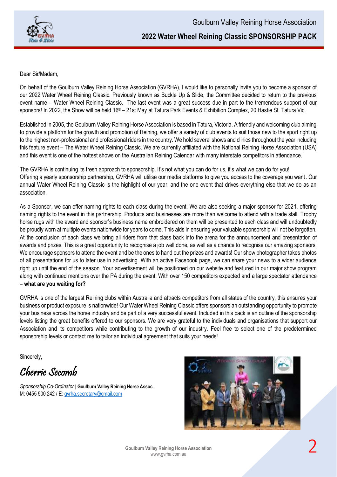

### **2022 Water Wheel Reining Classic SPONSORSHIP PACK**

Dear Sir/Madam,

On behalf of the Goulburn Valley Reining Horse Association (GVRHA), I would like to personally invite you to become a sponsor of our 2022 Water Wheel Reining Classic. Previously known as Buckle Up & Slide, the Committee decided to return to the previous event name – Water Wheel Reining Classic. The last event was a great success due in part to the tremendous support of our sponsors! In 2022, the Show will be held 16<sup>th</sup> – 21st May at Tatura Park Events & Exhibition Complex, 20 Hastie St. Tatura Vic.

Established in 2005, the Goulburn Valley Reining Horse Association is based in Tatura, Victoria. A friendly and welcoming club aiming to provide a platform for the growth and promotion of Reining, we offer a variety of club events to suit those new to the sport right up to the highest non-professional and professional riders in the country. We hold several shows and clinics throughout the year including this feature event – The Water Wheel Reining Classic. We are currently affiliated with the National Reining Horse Association (USA) and this event is one of the hottest shows on the Australian Reining Calendar with many interstate competitors in attendance.

The GVRHA is continuing its fresh approach to sponsorship. It's not what you can do for us, it's what we can do for you! Offering a yearly sponsorship partnership, GVRHA will utilise our media platforms to give you access to the coverage you want. Our annual Water Wheel Reining Classic is the highlight of our year, and the one event that drives everything else that we do as an association.

As a Sponsor, we can offer naming rights to each class during the event. We are also seeking a major sponsor for 2021, offering naming rights to the event in this partnership. Products and businesses are more than welcome to attend with a trade stall. Trophy horse rugs with the award and sponsor's business name embroidered on them will be presented to each class and will undoubtedly be proudly worn at multiple events nationwide for years to come. This aids in ensuring your valuable sponsorship will not be forgotten. At the conclusion of each class we bring all riders from that class back into the arena for the announcement and presentation of awards and prizes. This is a great opportunity to recognise a job well done, as well as a chance to recognise our amazing sponsors. We encourage sponsors to attend the event and be the ones to hand out the prizes and awards! Our show photographer takes photos of all presentations for us to later use in advertising. With an active Facebook page, we can share your news to a wider audience right up until the end of the season. Your advertisement will be positioned on our website and featured in our major show program along with continued mentions over the PA during the event. With over 150 competitors expected and a large spectator attendance – **what are you waiting for?**

GVRHA is one of the largest Reining clubs within Australia and attracts competitors from all states of the country, this ensures your business or product exposure is nationwide! Our Water Wheel Reining Classic offers sponsors an outstanding opportunity to promote your business across the horse industry and be part of a very successful event. Included in this pack is an outline of the sponsorship levels listing the great benefits offered to our sponsors. We are very grateful to the individuals and organisations that support our Association and its competitors while contributing to the growth of our industry. Feel free to select one of the predetermined sponsorship levels or contact me to tailor an individual agreement that suits your needs!

Sincerely,

Cherrie Secomb

*Sponsorship Co-Ordinator* | **Goulburn Valley Reining Horse Assoc.** M: 0455 500 242 / E[: gvrha.secretary@gmail.com](mailto:gvrha.secretary@gmail.com)

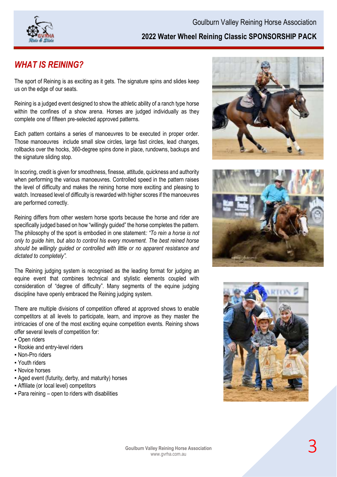

# *WHAT IS REINING?*

The sport of Reining is as exciting as it gets. The signature spins and slides keep us on the edge of our seats.

Reining is a judged event designed to show the athletic ability of a ranch type horse within the confines of a show arena. Horses are judged individually as they complete one of fifteen pre-selected approved patterns.

Each pattern contains a series of manoeuvres to be executed in proper order. Those manoeuvres include small slow circles, large fast circles, lead changes, rollbacks over the hocks, 360-degree spins done in place, rundowns, backups and the signature sliding stop.

In scoring, credit is given for smoothness, finesse, attitude, quickness and authority when performing the various manoeuvres. Controlled speed in the pattern raises the level of difficulty and makes the reining horse more exciting and pleasing to watch. Increased level of difficulty is rewarded with higher scores if the manoeuvres are performed correctly.

Reining differs from other western horse sports because the horse and rider are specifically judged based on how "willingly guided" the horse completes the pattern. The philosophy of the sport is embodied in one statement*: "To rein a horse is not only to guide him, but also to control his every movement. The best reined horse should be willingly guided or controlled with little or no apparent resistance and dictated to completely".* 

The Reining judging system is recognised as the leading format for judging an equine event that combines technical and stylistic elements coupled with consideration of "degree of difficulty". Many segments of the equine judging discipline have openly embraced the Reining judging system.

There are multiple divisions of competition offered at approved shows to enable competitors at all levels to participate, learn, and improve as they master the intricacies of one of the most exciting equine competition events. Reining shows offer several levels of competition for:

- **Open riders**
- Rookie and entry-level riders
- Non-Pro riders
- Youth riders
- Novice horses
- Aged event (futurity, derby, and maturity) horses
- **Affiliate (or local level) competitors**
- Para reining open to riders with disabilities





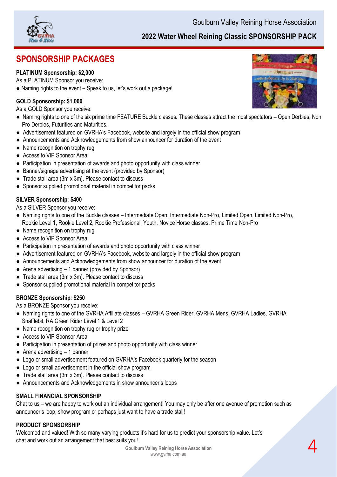

# **SPONSORSHIP PACKAGES**

#### **PLATINUM Sponsorship: \$2,000**

As a PLATINUM Sponsor you receive:

● Naming rights to the event – Speak to us, let's work out a package!

#### **GOLD Sponsorship: \$1,000**

As a GOLD Sponsor you receive:

- Naming rights to one of the six prime time FEATURE Buckle classes. These classes attract the most spectators Open Derbies, Non Pro Derbies, Futurities and Maturities.
- Advertisement featured on GVRHA's Facebook, website and largely in the official show program
- Announcements and Acknowledgements from show announcer for duration of the event
- Name recognition on trophy rug
- Access to VIP Sponsor Area
- Participation in presentation of awards and photo opportunity with class winner
- Banner/signage advertising at the event (provided by Sponsor)
- Trade stall area (3m x 3m). Please contact to discuss
- Sponsor supplied promotional material in competitor packs

#### **SILVER Sponsorship: \$400**

As a SILVER Sponsor you receive:

- Naming rights to one of the Buckle classes Intermediate Open, Intermediate Non-Pro, Limited Open, Limited Non-Pro, Rookie Level 1, Rookie Level 2, Rookie Professional, Youth, Novice Horse classes, Prime Time Non-Pro
- Name recognition on trophy rug
- Access to VIP Sponsor Area
- Participation in presentation of awards and photo opportunity with class winner
- Advertisement featured on GVRHA's Facebook, website and largely in the official show program
- Announcements and Acknowledgements from show announcer for duration of the event
- Arena advertising 1 banner (provided by Sponsor)
- Trade stall area (3m x 3m). Please contact to discuss
- Sponsor supplied promotional material in competitor packs

#### **BRONZE Sponsorship: \$250**

As a BRONZE Sponsor you receive:

- Naming rights to one of the GVRHA Affiliate classes GVRHA Green Rider, GVRHA Mens, GVRHA Ladies, GVRHA Snafflebit, RA Green Rider Level 1 & Level 2
- Name recognition on trophy rug or trophy prize
- Access to VIP Sponsor Area
- Participation in presentation of prizes and photo opportunity with class winner
- $\bullet$  Arena advertising  $-1$  banner
- Logo or small advertisement featured on GVRHA's Facebook quarterly for the season
- Logo or small advertisement in the official show program
- Trade stall area (3m x 3m). Please contact to discuss
- Announcements and Acknowledgements in show announcer's loops

#### **SMALL FINANCIAL SPONSORSHIP**

Chat to us – we are happy to work out an individual arrangement! You may only be after one avenue of promotion such as announcer's loop, show program or perhaps just want to have a trade stall!

#### **PRODUCT SPONSORSHIP**

Welcomed and valued! With so many varying products it's hard for us to predict your sponsorship value. Let's chat and work out an arrangement that best suits you!

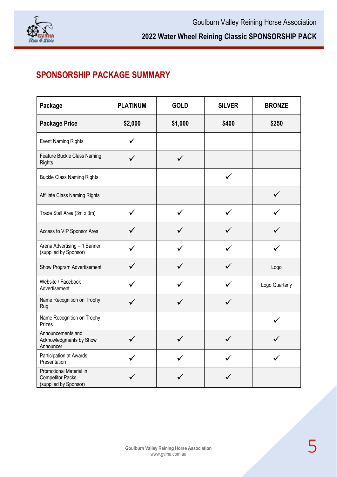

# **SPONSORSHIP PACKAGE SUMMARY**

| Package                                                                            | <b>PLATINUM</b> | <b>GOLD</b>  | <b>SILVER</b> | <b>BRONZE</b>  |
|------------------------------------------------------------------------------------|-----------------|--------------|---------------|----------------|
| <b>Package Price</b>                                                               | \$2,000         | \$1,000      | \$400         | \$250          |
| <b>Event Naming Rights</b>                                                         |                 |              |               |                |
| Feature Buckle Class Naming<br><b>Rights</b>                                       |                 | $\checkmark$ |               |                |
| <b>Buckle Class Naming Rights</b>                                                  |                 |              | $\checkmark$  |                |
| Affiliate Class Naming Rights                                                      |                 |              |               | $\checkmark$   |
| Trade Stall Area (3m x 3m)                                                         |                 |              |               |                |
| Access to VIP Sponsor Area                                                         |                 |              |               |                |
| Arena Advertising - 1 Banner<br>(supplied by Sponsor)                              | $\checkmark$    |              |               |                |
| Show Program Advertisement                                                         |                 |              |               | Logo           |
| Website / Facebook<br>Advertisement                                                |                 |              |               | Logo Quarterly |
| Name Recognition on Trophy<br>Rug                                                  | ✓               | ✓            | ✓             |                |
| Name Recognition on Trophy<br>Prizes                                               |                 |              |               |                |
| Announcements and<br>Acknowledgments by Show<br>Announcer                          | $\checkmark$    |              | ✓             |                |
| Participation at Awards<br>Presentation                                            |                 |              |               |                |
| <b>Promotional Material in</b><br><b>Competitor Packs</b><br>(supplied by Sponsor) |                 |              |               |                |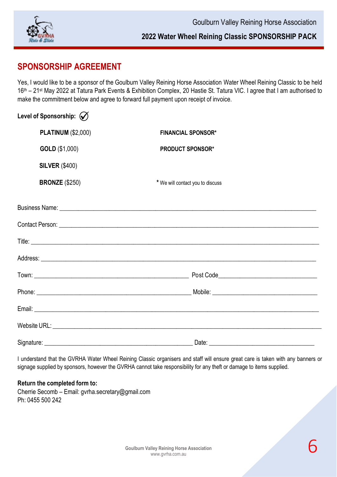

#### **2022 Water Wheel Reining Classic SPONSORSHIP PACK**

## **SPONSORSHIP AGREEMENT**

Yes, I would like to be a sponsor of the Goulburn Valley Reining Horse Association Water Wheel Reining Classic to be held 16 th – 21 st May 2022 at Tatura Park Events & Exhibition Complex, 20 Hastie St. Tatura VIC. I agree that I am authorised to make the commitment below and agree to forward full payment upon receipt of invoice.

| Level of Sponsorship: $\mathcal{O}$ |                                  |  |
|-------------------------------------|----------------------------------|--|
| <b>PLATINUM (\$2,000)</b>           | <b>FINANCIAL SPONSOR*</b>        |  |
| GOLD (\$1,000)                      | <b>PRODUCT SPONSOR*</b>          |  |
| <b>SILVER (\$400)</b>               |                                  |  |
| <b>BRONZE (\$250)</b>               | * We will contact you to discuss |  |
|                                     |                                  |  |
|                                     |                                  |  |
|                                     |                                  |  |
|                                     |                                  |  |
|                                     |                                  |  |
|                                     |                                  |  |
|                                     |                                  |  |
|                                     |                                  |  |
|                                     |                                  |  |

I understand that the GVRHA Water Wheel Reining Classic organisers and staff will ensure great care is taken with any banners or signage supplied by sponsors, however the GVRHA cannot take responsibility for any theft or damage to items supplied.

#### **Return the completed form to:**

Cherrie Secomb – Email: gvrha.secretary@gmail.com Ph: 0455 500 242